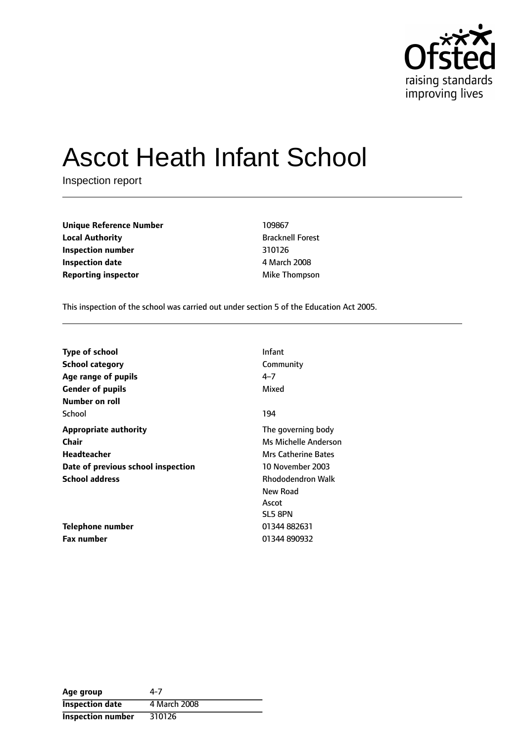

# Ascot Heath Infant School

Inspection report

| <b>Unique Reference Number</b> | 109867                  |
|--------------------------------|-------------------------|
| <b>Local Authority</b>         | <b>Bracknell Forest</b> |
| Inspection number              | 310126                  |
| <b>Inspection date</b>         | 4 March 2008            |
| <b>Reporting inspector</b>     | Mike Thompson           |

**Unique Reference Number** 109867 **Bracknell Forest Inspection number** 310126 **Inspection date** 4 March 2008

This inspection of the school was carried out under section 5 of the Education Act 2005.

| <b>Type of school</b>              | <b>Infant</b>            |
|------------------------------------|--------------------------|
| <b>School category</b>             | Community                |
| Age range of pupils                | $4 - 7$                  |
| <b>Gender of pupils</b>            | Mixed                    |
| Number on roll                     |                          |
| School                             | 194                      |
| <b>Appropriate authority</b>       | The governing body       |
| <b>Chair</b>                       | Ms Michelle Anderson     |
| Headteacher                        | Mrs Catherine Bates      |
| Date of previous school inspection | 10 November 2003         |
| <b>School address</b>              | <b>Rhododendron Walk</b> |
|                                    | New Road                 |
|                                    | Ascot                    |
|                                    | SL5 8PN                  |
| Telephone number                   | 01344 882631             |
| Fax number                         | 01344 890932             |

| Age group                | 4-7          |
|--------------------------|--------------|
| <b>Inspection date</b>   | 4 March 2008 |
| <b>Inspection number</b> | 310126       |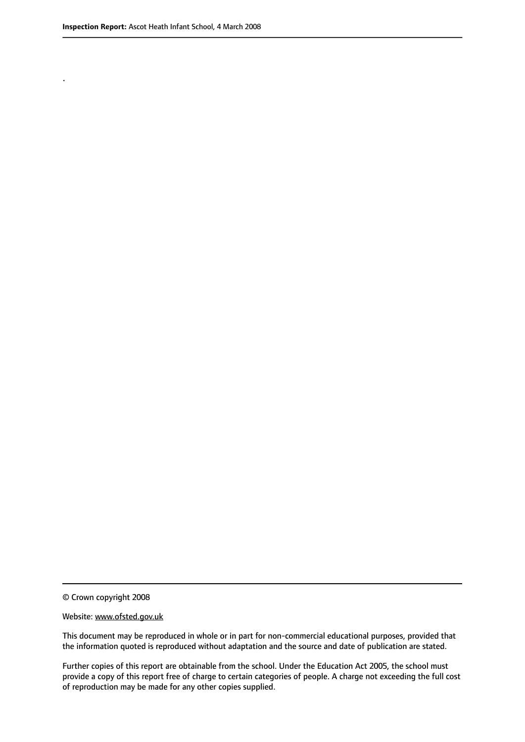.

© Crown copyright 2008

#### Website: www.ofsted.gov.uk

This document may be reproduced in whole or in part for non-commercial educational purposes, provided that the information quoted is reproduced without adaptation and the source and date of publication are stated.

Further copies of this report are obtainable from the school. Under the Education Act 2005, the school must provide a copy of this report free of charge to certain categories of people. A charge not exceeding the full cost of reproduction may be made for any other copies supplied.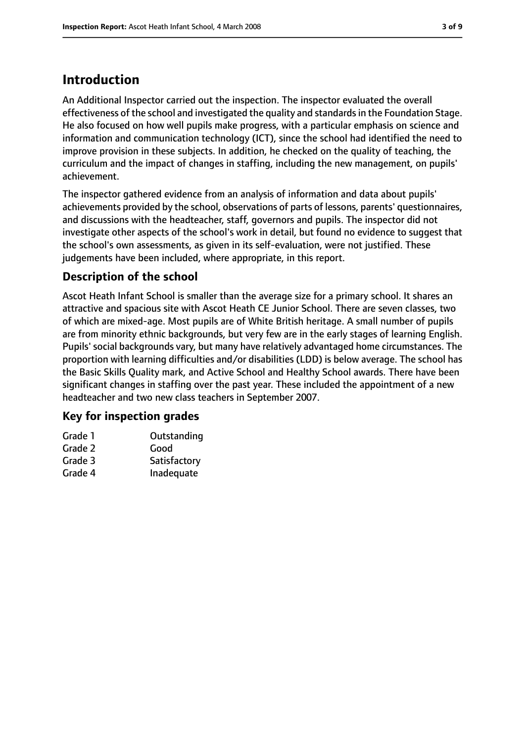## **Introduction**

An Additional Inspector carried out the inspection. The inspector evaluated the overall effectiveness of the school and investigated the quality and standardsin the Foundation Stage. He also focused on how well pupils make progress, with a particular emphasis on science and information and communication technology (ICT), since the school had identified the need to improve provision in these subjects. In addition, he checked on the quality of teaching, the curriculum and the impact of changes in staffing, including the new management, on pupils' achievement.

The inspector gathered evidence from an analysis of information and data about pupils' achievements provided by the school, observations of parts of lessons, parents' questionnaires, and discussions with the headteacher, staff, governors and pupils. The inspector did not investigate other aspects of the school's work in detail, but found no evidence to suggest that the school's own assessments, as given in its self-evaluation, were not justified. These judgements have been included, where appropriate, in this report.

#### **Description of the school**

Ascot Heath Infant School is smaller than the average size for a primary school. It shares an attractive and spacious site with Ascot Heath CE Junior School. There are seven classes, two of which are mixed-age. Most pupils are of White British heritage. A small number of pupils are from minority ethnic backgrounds, but very few are in the early stages of learning English. Pupils' social backgrounds vary, but many have relatively advantaged home circumstances. The proportion with learning difficulties and/or disabilities (LDD) is below average. The school has the Basic Skills Quality mark, and Active School and Healthy School awards. There have been significant changes in staffing over the past year. These included the appointment of a new headteacher and two new class teachers in September 2007.

#### **Key for inspection grades**

| Grade 1       | Outstanding |
|---------------|-------------|
| $\sim$ $\sim$ |             |

- Grade 2 Good
- Grade 3 Satisfactory
- Grade 4 Inadequate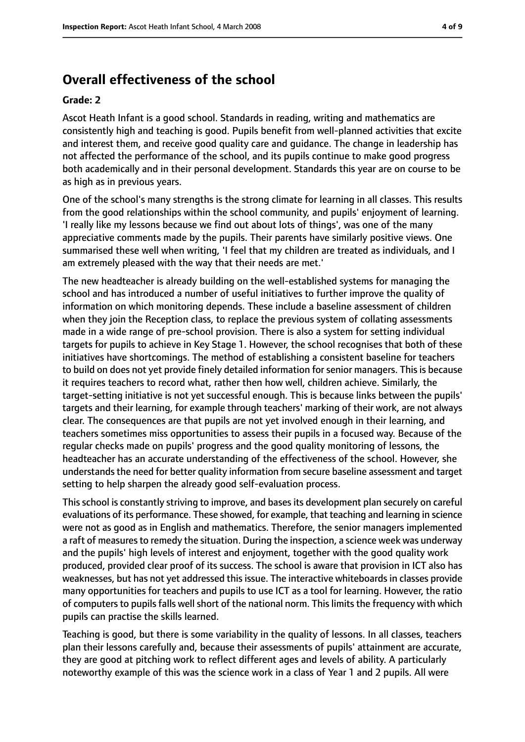## **Overall effectiveness of the school**

#### **Grade: 2**

Ascot Heath Infant is a good school. Standards in reading, writing and mathematics are consistently high and teaching is good. Pupils benefit from well-planned activities that excite and interest them, and receive good quality care and guidance. The change in leadership has not affected the performance of the school, and its pupils continue to make good progress both academically and in their personal development. Standards this year are on course to be as high as in previous years.

One of the school's many strengths is the strong climate for learning in all classes. This results from the good relationships within the school community, and pupils' enjoyment of learning. 'I really like my lessons because we find out about lots of things', was one of the many appreciative comments made by the pupils. Their parents have similarly positive views. One summarised these well when writing, 'I feel that my children are treated as individuals, and I am extremely pleased with the way that their needs are met.'

The new headteacher is already building on the well-established systems for managing the school and has introduced a number of useful initiatives to further improve the quality of information on which monitoring depends. These include a baseline assessment of children when they join the Reception class, to replace the previous system of collating assessments made in a wide range of pre-school provision. There is also a system for setting individual targets for pupils to achieve in Key Stage 1. However, the school recognises that both of these initiatives have shortcomings. The method of establishing a consistent baseline for teachers to build on does not yet provide finely detailed information for senior managers. This is because it requires teachers to record what, rather then how well, children achieve. Similarly, the target-setting initiative is not yet successful enough. This is because links between the pupils' targets and their learning, for example through teachers' marking of their work, are not always clear. The consequences are that pupils are not yet involved enough in their learning, and teachers sometimes miss opportunities to assess their pupils in a focused way. Because of the regular checks made on pupils' progress and the good quality monitoring of lessons, the headteacher has an accurate understanding of the effectiveness of the school. However, she understands the need for better quality information from secure baseline assessment and target setting to help sharpen the already good self-evaluation process.

This school is constantly striving to improve, and bases its development plan securely on careful evaluations of its performance. These showed, for example, that teaching and learning in science were not as good as in English and mathematics. Therefore, the senior managers implemented a raft of measures to remedy the situation. During the inspection, a science week was underway and the pupils' high levels of interest and enjoyment, together with the good quality work produced, provided clear proof of its success. The school is aware that provision in ICT also has weaknesses, but has not yet addressed this issue. The interactive whiteboards in classes provide many opportunities for teachers and pupils to use ICT as a tool for learning. However, the ratio of computers to pupils falls well short of the national norm. This limits the frequency with which pupils can practise the skills learned.

Teaching is good, but there is some variability in the quality of lessons. In all classes, teachers plan their lessons carefully and, because their assessments of pupils' attainment are accurate, they are good at pitching work to reflect different ages and levels of ability. A particularly noteworthy example of this was the science work in a class of Year 1 and 2 pupils. All were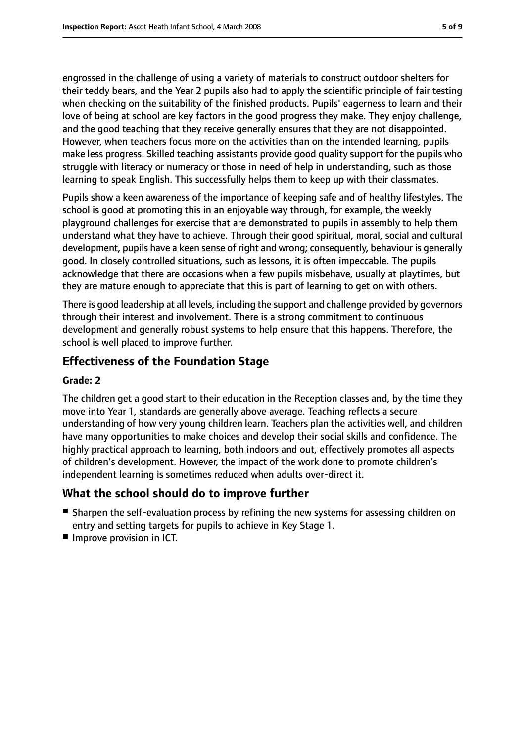engrossed in the challenge of using a variety of materials to construct outdoor shelters for their teddy bears, and the Year 2 pupils also had to apply the scientific principle of fair testing when checking on the suitability of the finished products. Pupils' eagerness to learn and their love of being at school are key factors in the good progress they make. They enjoy challenge, and the good teaching that they receive generally ensures that they are not disappointed. However, when teachers focus more on the activities than on the intended learning, pupils make less progress. Skilled teaching assistants provide good quality support for the pupils who struggle with literacy or numeracy or those in need of help in understanding, such as those learning to speak English. This successfully helps them to keep up with their classmates.

Pupils show a keen awareness of the importance of keeping safe and of healthy lifestyles. The school is good at promoting this in an enjoyable way through, for example, the weekly playground challenges for exercise that are demonstrated to pupils in assembly to help them understand what they have to achieve. Through their good spiritual, moral, social and cultural development, pupils have a keen sense of right and wrong; consequently, behaviour is generally good. In closely controlled situations, such as lessons, it is often impeccable. The pupils acknowledge that there are occasions when a few pupils misbehave, usually at playtimes, but they are mature enough to appreciate that this is part of learning to get on with others.

There is good leadership at all levels, including the support and challenge provided by governors through their interest and involvement. There is a strong commitment to continuous development and generally robust systems to help ensure that this happens. Therefore, the school is well placed to improve further.

#### **Effectiveness of the Foundation Stage**

#### **Grade: 2**

The children get a good start to their education in the Reception classes and, by the time they move into Year 1, standards are generally above average. Teaching reflects a secure understanding of how very young children learn. Teachers plan the activities well, and children have many opportunities to make choices and develop their social skills and confidence. The highly practical approach to learning, both indoors and out, effectively promotes all aspects of children's development. However, the impact of the work done to promote children's independent learning is sometimes reduced when adults over-direct it.

#### **What the school should do to improve further**

- Sharpen the self-evaluation process by refining the new systems for assessing children on entry and setting targets for pupils to achieve in Key Stage 1.
- Improve provision in ICT.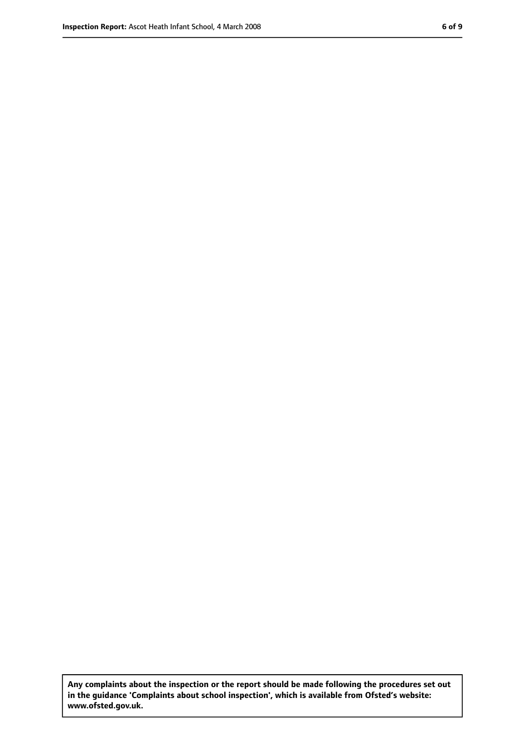**Any complaints about the inspection or the report should be made following the procedures set out in the guidance 'Complaints about school inspection', which is available from Ofsted's website: www.ofsted.gov.uk.**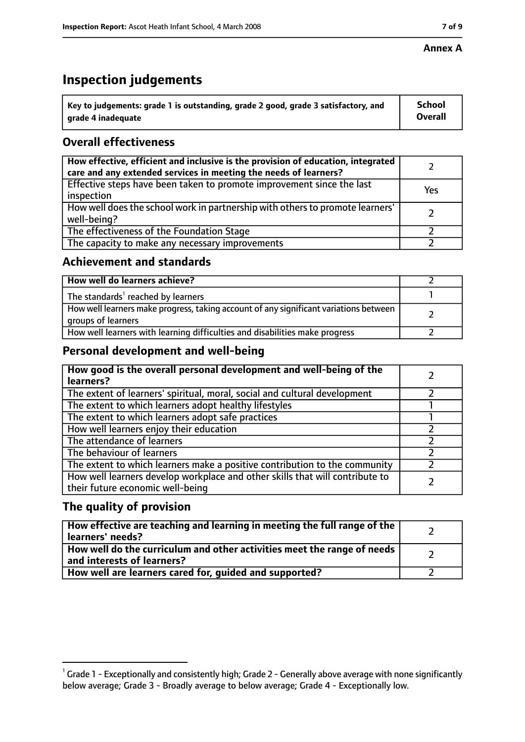#### **Annex A**

## **Inspection judgements**

| $^{\backprime}$ Key to judgements: grade 1 is outstanding, grade 2 good, grade 3 satisfactory, and | <b>School</b>  |
|----------------------------------------------------------------------------------------------------|----------------|
| arade 4 inadeguate                                                                                 | <b>Overall</b> |

### **Overall effectiveness**

| How effective, efficient and inclusive is the provision of education, integrated<br>care and any extended services in meeting the needs of learners? |     |
|------------------------------------------------------------------------------------------------------------------------------------------------------|-----|
| Effective steps have been taken to promote improvement since the last<br>inspection                                                                  | Yes |
| How well does the school work in partnership with others to promote learners'<br>well-being?                                                         |     |
| The effectiveness of the Foundation Stage                                                                                                            |     |
| The capacity to make any necessary improvements                                                                                                      |     |

#### **Achievement and standards**

| How well do learners achieve?                                                                               |  |
|-------------------------------------------------------------------------------------------------------------|--|
| The standards <sup>1</sup> reached by learners                                                              |  |
| How well learners make progress, taking account of any significant variations between<br>groups of learners |  |
| How well learners with learning difficulties and disabilities make progress                                 |  |

#### **Personal development and well-being**

| How good is the overall personal development and well-being of the<br>learners?                                  |  |
|------------------------------------------------------------------------------------------------------------------|--|
| The extent of learners' spiritual, moral, social and cultural development                                        |  |
| The extent to which learners adopt healthy lifestyles                                                            |  |
| The extent to which learners adopt safe practices                                                                |  |
| How well learners enjoy their education                                                                          |  |
| The attendance of learners                                                                                       |  |
| The behaviour of learners                                                                                        |  |
| The extent to which learners make a positive contribution to the community                                       |  |
| How well learners develop workplace and other skills that will contribute to<br>their future economic well-being |  |

#### **The quality of provision**

| How effective are teaching and learning in meeting the full range of the<br>learners' needs?          |  |
|-------------------------------------------------------------------------------------------------------|--|
| How well do the curriculum and other activities meet the range of needs<br>and interests of learners? |  |
| How well are learners cared for, guided and supported?                                                |  |

 $^1$  Grade 1 - Exceptionally and consistently high; Grade 2 - Generally above average with none significantly below average; Grade 3 - Broadly average to below average; Grade 4 - Exceptionally low.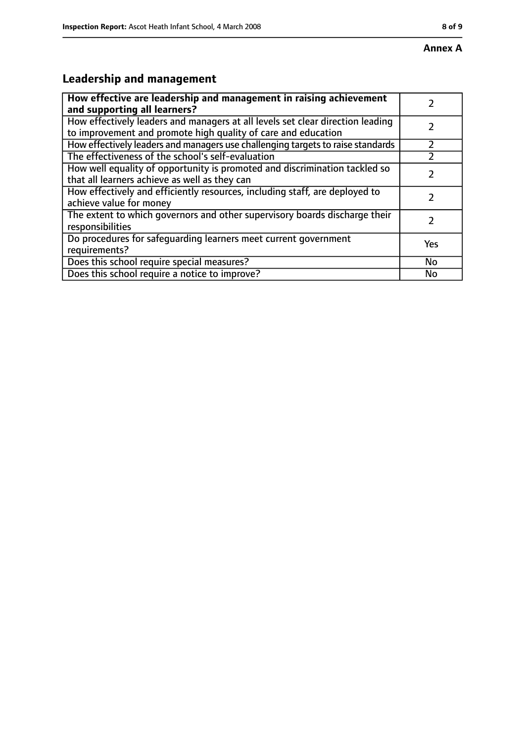## **Leadership and management**

| How effective are leadership and management in raising achievement<br>and supporting all learners?                                              |     |
|-------------------------------------------------------------------------------------------------------------------------------------------------|-----|
| How effectively leaders and managers at all levels set clear direction leading<br>to improvement and promote high quality of care and education |     |
| How effectively leaders and managers use challenging targets to raise standards                                                                 |     |
| The effectiveness of the school's self-evaluation                                                                                               |     |
| How well equality of opportunity is promoted and discrimination tackled so<br>that all learners achieve as well as they can                     |     |
| How effectively and efficiently resources, including staff, are deployed to<br>achieve value for money                                          |     |
| The extent to which governors and other supervisory boards discharge their<br>responsibilities                                                  |     |
| Do procedures for safequarding learners meet current government<br>requirements?                                                                | Yes |
| Does this school require special measures?                                                                                                      | No  |
| Does this school require a notice to improve?                                                                                                   | No  |